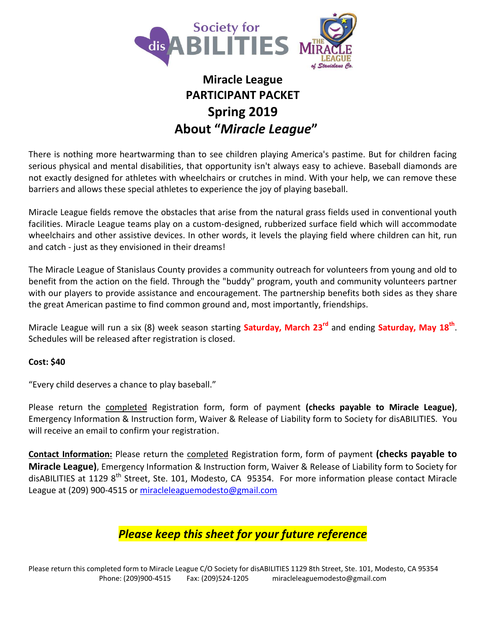

# **Miracle League PARTICIPANT PACKET Spring 2019 About "***Miracle League***"**

There is nothing more heartwarming than to see children playing America's pastime. But for children facing serious physical and mental disabilities, that opportunity isn't always easy to achieve. Baseball diamonds are not exactly designed for athletes with wheelchairs or crutches in mind. With your help, we can remove these barriers and allows these special athletes to experience the joy of playing baseball.

Miracle League fields remove the obstacles that arise from the natural grass fields used in conventional youth facilities. Miracle League teams play on a custom-designed, rubberized surface field which will accommodate wheelchairs and other assistive devices. In other words, it levels the playing field where children can hit, run and catch - just as they envisioned in their dreams!

The Miracle League of Stanislaus County provides a community outreach for volunteers from young and old to benefit from the action on the field. Through the "buddy" program, youth and community volunteers partner with our players to provide assistance and encouragement. The partnership benefits both sides as they share the great American pastime to find common ground and, most importantly, friendships.

Miracle League will run a six (8) week season starting **Saturday, March 23rd** and ending **Saturday, May 18th** . Schedules will be released after registration is closed.

### **Cost: \$40**

"Every child deserves a chance to play baseball."

Please return the completed Registration form, form of payment **(checks payable to Miracle League)**, Emergency Information & Instruction form, Waiver & Release of Liability form to Society for disABILITIES. You will receive an email to confirm your registration.

**Contact Information:** Please return the completed Registration form, form of payment **(checks payable to Miracle League)**, Emergency Information & Instruction form, Waiver & Release of Liability form to Society for disABILITIES at 1129 8<sup>th</sup> Street, Ste. 101, Modesto, CA 95354. For more information please contact Miracle League at (209) 900-4515 or [miracleleaguemodesto@gmail.com](mailto:miracleleaguemodesto@gmail.com)

## *Please keep this sheet for your future reference*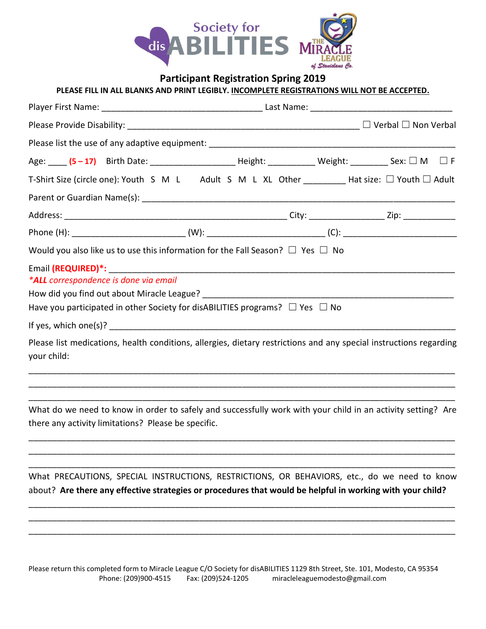

### **Participant Registration Spring 2019**

**PLEASE FILL IN ALL BLANKS AND PRINT LEGIBLY. INCOMPLETE REGISTRATIONS WILL NOT BE ACCEPTED.**

| Age: <b>____ (5-17)</b> Birth Date: ___________________________Height: ______________Weight: ______________Sex: □ M □ F           |  |  |
|-----------------------------------------------------------------------------------------------------------------------------------|--|--|
| T-Shirt Size (circle one): Youth S M L Adult S M L XL Other __________ Hat size: $\Box$ Youth $\Box$ Adult                        |  |  |
|                                                                                                                                   |  |  |
|                                                                                                                                   |  |  |
|                                                                                                                                   |  |  |
| Would you also like us to use this information for the Fall Season? $\Box$ Yes $\Box$ No                                          |  |  |
| *ALL correspondence is done via email<br>Have you participated in other Society for disABILITIES programs? $\Box$ Yes $\Box$ No   |  |  |
|                                                                                                                                   |  |  |
| Please list medications, health conditions, allergies, dietary restrictions and any special instructions regarding<br>your child: |  |  |
|                                                                                                                                   |  |  |

What do we need to know in order to safely and successfully work with your child in an activity setting? Are there any activity limitations? Please be specific.

\_\_\_\_\_\_\_\_\_\_\_\_\_\_\_\_\_\_\_\_\_\_\_\_\_\_\_\_\_\_\_\_\_\_\_\_\_\_\_\_\_\_\_\_\_\_\_\_\_\_\_\_\_\_\_\_\_\_\_\_\_\_\_\_\_\_\_\_\_\_\_\_\_\_\_\_\_\_\_\_\_\_\_\_\_\_\_\_\_\_ \_\_\_\_\_\_\_\_\_\_\_\_\_\_\_\_\_\_\_\_\_\_\_\_\_\_\_\_\_\_\_\_\_\_\_\_\_\_\_\_\_\_\_\_\_\_\_\_\_\_\_\_\_\_\_\_\_\_\_\_\_\_\_\_\_\_\_\_\_\_\_\_\_\_\_\_\_\_\_\_\_\_\_\_\_\_\_\_\_\_ \_\_\_\_\_\_\_\_\_\_\_\_\_\_\_\_\_\_\_\_\_\_\_\_\_\_\_\_\_\_\_\_\_\_\_\_\_\_\_\_\_\_\_\_\_\_\_\_\_\_\_\_\_\_\_\_\_\_\_\_\_\_\_\_\_\_\_\_\_\_\_\_\_\_\_\_\_\_\_\_\_\_\_\_\_\_\_\_\_\_

\_\_\_\_\_\_\_\_\_\_\_\_\_\_\_\_\_\_\_\_\_\_\_\_\_\_\_\_\_\_\_\_\_\_\_\_\_\_\_\_\_\_\_\_\_\_\_\_\_\_\_\_\_\_\_\_\_\_\_\_\_\_\_\_\_\_\_\_\_\_\_\_\_\_\_\_\_\_\_\_\_\_\_\_\_\_\_\_\_\_

What PRECAUTIONS, SPECIAL INSTRUCTIONS, RESTRICTIONS, OR BEHAVIORS, etc., do we need to know about? **Are there any effective strategies or procedures that would be helpful in working with your child?**

\_\_\_\_\_\_\_\_\_\_\_\_\_\_\_\_\_\_\_\_\_\_\_\_\_\_\_\_\_\_\_\_\_\_\_\_\_\_\_\_\_\_\_\_\_\_\_\_\_\_\_\_\_\_\_\_\_\_\_\_\_\_\_\_\_\_\_\_\_\_\_\_\_\_\_\_\_\_\_\_\_\_\_\_\_\_\_\_\_\_ \_\_\_\_\_\_\_\_\_\_\_\_\_\_\_\_\_\_\_\_\_\_\_\_\_\_\_\_\_\_\_\_\_\_\_\_\_\_\_\_\_\_\_\_\_\_\_\_\_\_\_\_\_\_\_\_\_\_\_\_\_\_\_\_\_\_\_\_\_\_\_\_\_\_\_\_\_\_\_\_\_\_\_\_\_\_\_\_\_\_ \_\_\_\_\_\_\_\_\_\_\_\_\_\_\_\_\_\_\_\_\_\_\_\_\_\_\_\_\_\_\_\_\_\_\_\_\_\_\_\_\_\_\_\_\_\_\_\_\_\_\_\_\_\_\_\_\_\_\_\_\_\_\_\_\_\_\_\_\_\_\_\_\_\_\_\_\_\_\_\_\_\_\_\_\_\_\_\_\_\_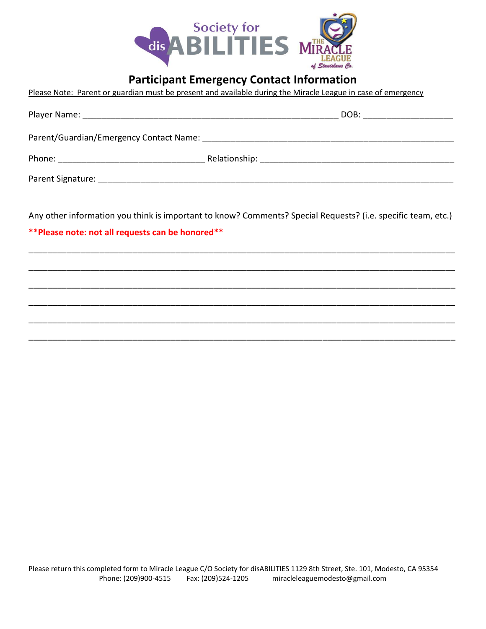

### **Participant Emergency Contact Information**

|  |  | Please Note: Parent or guardian must be present and available during the Miracle League in case of emergency |  |  |
|--|--|--------------------------------------------------------------------------------------------------------------|--|--|
|--|--|--------------------------------------------------------------------------------------------------------------|--|--|

|                                               |  | DOB:<br><u> 1980 - John Stein, Amerikaansk politiker (</u> |  |  |  |
|-----------------------------------------------|--|------------------------------------------------------------|--|--|--|
| Parent/Guardian/Emergency Contact Name: Name: |  |                                                            |  |  |  |
|                                               |  |                                                            |  |  |  |
|                                               |  |                                                            |  |  |  |

Any other information you think is important to know? Comments? Special Requests? (i.e. specific team, etc.)

\_\_\_\_\_\_\_\_\_\_\_\_\_\_\_\_\_\_\_\_\_\_\_\_\_\_\_\_\_\_\_\_\_\_\_\_\_\_\_\_\_\_\_\_\_\_\_\_\_\_\_\_\_\_\_\_\_\_\_\_\_\_\_\_\_\_\_\_\_\_\_\_\_\_\_\_\_\_\_\_\_\_\_\_\_\_\_\_\_\_

\_\_\_\_\_\_\_\_\_\_\_\_\_\_\_\_\_\_\_\_\_\_\_\_\_\_\_\_\_\_\_\_\_\_\_\_\_\_\_\_\_\_\_\_\_\_\_\_\_\_\_\_\_\_\_\_\_\_\_\_\_\_\_\_\_\_\_\_\_\_\_\_\_\_\_\_\_\_\_\_\_\_\_\_\_\_\_\_\_\_

\_\_\_\_\_\_\_\_\_\_\_\_\_\_\_\_\_\_\_\_\_\_\_\_\_\_\_\_\_\_\_\_\_\_\_\_\_\_\_\_\_\_\_\_\_\_\_\_\_\_\_\_\_\_\_\_\_\_\_\_\_\_\_\_\_\_\_\_\_\_\_\_\_\_\_\_\_\_\_\_\_\_\_\_\_\_\_\_\_\_

\_\_\_\_\_\_\_\_\_\_\_\_\_\_\_\_\_\_\_\_\_\_\_\_\_\_\_\_\_\_\_\_\_\_\_\_\_\_\_\_\_\_\_\_\_\_\_\_\_\_\_\_\_\_\_\_\_\_\_\_\_\_\_\_\_\_\_\_\_\_\_\_\_\_\_\_\_\_\_\_\_\_\_\_\_\_\_\_\_\_

\_\_\_\_\_\_\_\_\_\_\_\_\_\_\_\_\_\_\_\_\_\_\_\_\_\_\_\_\_\_\_\_\_\_\_\_\_\_\_\_\_\_\_\_\_\_\_\_\_\_\_\_\_\_\_\_\_\_\_\_\_\_\_\_\_\_\_\_\_\_\_\_\_\_\_\_\_\_\_\_\_\_\_\_\_\_\_\_\_\_

\_\_\_\_\_\_\_\_\_\_\_\_\_\_\_\_\_\_\_\_\_\_\_\_\_\_\_\_\_\_\_\_\_\_\_\_\_\_\_\_\_\_\_\_\_\_\_\_\_\_\_\_\_\_\_\_\_\_\_\_\_\_\_\_\_\_\_\_\_\_\_\_\_\_\_\_\_\_\_\_\_\_\_\_\_\_\_\_\_\_

**\*\*Please note: not all requests can be honored\*\***